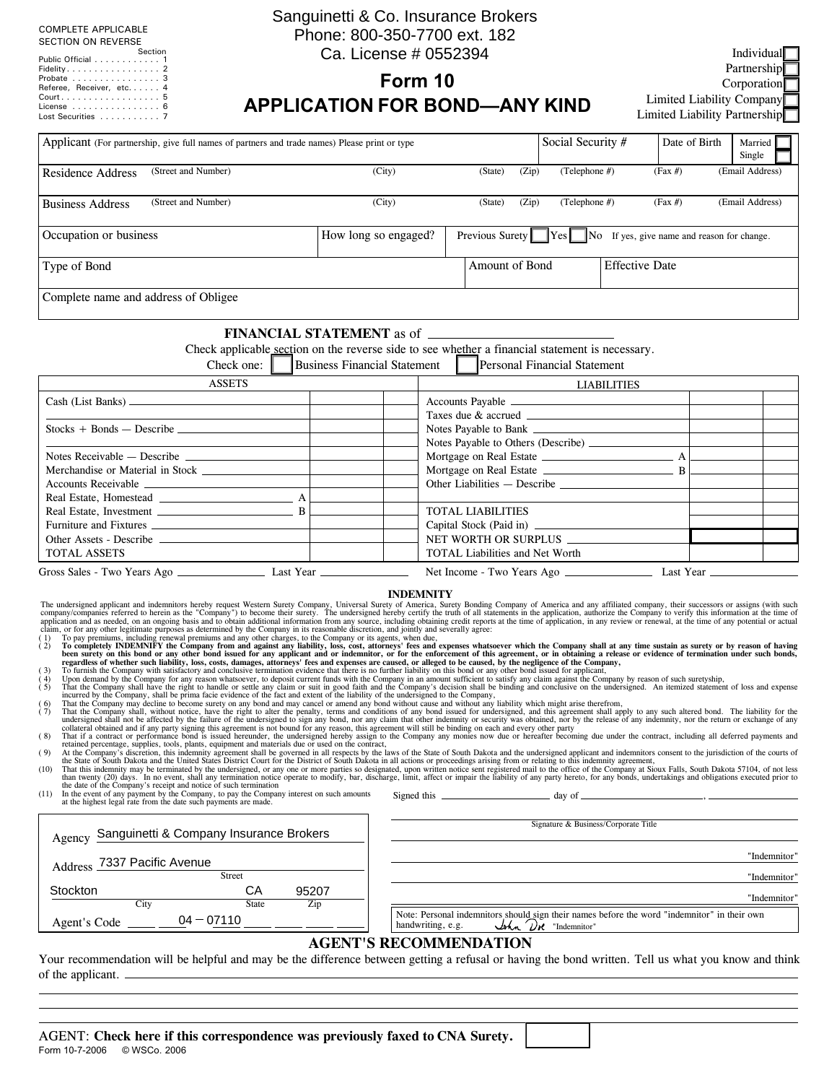#### COMPLETE APPLICABLE SECTION ON REVERSE

| <u>JLC IION ON IILVLIIJL</u>                            |  |  |
|---------------------------------------------------------|--|--|
| Section                                                 |  |  |
| Public Official 1                                       |  |  |
| Fidelity. $\ldots$ . $\ldots$ . $\ldots$ . $\ldots$ . 2 |  |  |
| Probate 3                                               |  |  |
| Referee, Receiver, etc 4                                |  |  |
| Court 5                                                 |  |  |
| License $\ldots$ , $\ldots$ , $\ldots$ , $\ldots$ , 6   |  |  |
| Lost Securities 7                                       |  |  |

Agent's Code

# Sanguinetti & Co. Insurance Brokers Phone: 800-350-7700 ext. 182 Ca. License # 0552394

**Form 10**

Individual Partnership Corporation Limited Liability Company Limited Liability Partnership

# **APPLICATION FOR BOND—ANY KIND**

| Applicant (For partnership, give full names of partners and trade names) Please print or type                                                                                                                                                                                                                                                                                                                                                                                                                                                                                                                                                                                                                                                                                                                                                                                                                                                                                                                                                                                                                                                                                                                                                                                                                                                                                                                                                                                    |                                     |                  |                                 |       | Social Security #                    |                       | Date of Birth                                                   | Married<br>Single |
|----------------------------------------------------------------------------------------------------------------------------------------------------------------------------------------------------------------------------------------------------------------------------------------------------------------------------------------------------------------------------------------------------------------------------------------------------------------------------------------------------------------------------------------------------------------------------------------------------------------------------------------------------------------------------------------------------------------------------------------------------------------------------------------------------------------------------------------------------------------------------------------------------------------------------------------------------------------------------------------------------------------------------------------------------------------------------------------------------------------------------------------------------------------------------------------------------------------------------------------------------------------------------------------------------------------------------------------------------------------------------------------------------------------------------------------------------------------------------------|-------------------------------------|------------------|---------------------------------|-------|--------------------------------------|-----------------------|-----------------------------------------------------------------|-------------------|
| (Street and Number)<br><b>Residence Address</b>                                                                                                                                                                                                                                                                                                                                                                                                                                                                                                                                                                                                                                                                                                                                                                                                                                                                                                                                                                                                                                                                                                                                                                                                                                                                                                                                                                                                                                  | (City)                              |                  | (State)<br>(Zip)                |       | (Telephone $#$ )                     |                       | $(Fax \#)$                                                      | (Email Address)   |
| (Street and Number)<br><b>Business Address</b>                                                                                                                                                                                                                                                                                                                                                                                                                                                                                                                                                                                                                                                                                                                                                                                                                                                                                                                                                                                                                                                                                                                                                                                                                                                                                                                                                                                                                                   | (City)                              |                  | (State)                         | (Zip) | (Telephone #)                        |                       | $(Fax \#)$                                                      | (Email Address)   |
| Occupation or business                                                                                                                                                                                                                                                                                                                                                                                                                                                                                                                                                                                                                                                                                                                                                                                                                                                                                                                                                                                                                                                                                                                                                                                                                                                                                                                                                                                                                                                           | How long so engaged?                |                  |                                 |       |                                      |                       | Previous Surety Yes No If yes, give name and reason for change. |                   |
| Type of Bond                                                                                                                                                                                                                                                                                                                                                                                                                                                                                                                                                                                                                                                                                                                                                                                                                                                                                                                                                                                                                                                                                                                                                                                                                                                                                                                                                                                                                                                                     |                                     |                  | Amount of Bond                  |       |                                      | <b>Effective Date</b> |                                                                 |                   |
| Complete name and address of Obligee                                                                                                                                                                                                                                                                                                                                                                                                                                                                                                                                                                                                                                                                                                                                                                                                                                                                                                                                                                                                                                                                                                                                                                                                                                                                                                                                                                                                                                             |                                     |                  |                                 |       |                                      |                       |                                                                 |                   |
| Check applicable section on the reverse side to see whether a financial statement is necessary.<br>Check one:                                                                                                                                                                                                                                                                                                                                                                                                                                                                                                                                                                                                                                                                                                                                                                                                                                                                                                                                                                                                                                                                                                                                                                                                                                                                                                                                                                    | <b>Business Financial Statement</b> |                  |                                 |       | Personal Financial Statement         |                       |                                                                 |                   |
| <b>ASSETS</b>                                                                                                                                                                                                                                                                                                                                                                                                                                                                                                                                                                                                                                                                                                                                                                                                                                                                                                                                                                                                                                                                                                                                                                                                                                                                                                                                                                                                                                                                    |                                     |                  |                                 |       | LIABILITIES                          |                       |                                                                 |                   |
|                                                                                                                                                                                                                                                                                                                                                                                                                                                                                                                                                                                                                                                                                                                                                                                                                                                                                                                                                                                                                                                                                                                                                                                                                                                                                                                                                                                                                                                                                  |                                     |                  |                                 |       |                                      |                       |                                                                 |                   |
| $Stocks + Bonds - Describe$                                                                                                                                                                                                                                                                                                                                                                                                                                                                                                                                                                                                                                                                                                                                                                                                                                                                                                                                                                                                                                                                                                                                                                                                                                                                                                                                                                                                                                                      |                                     |                  |                                 |       |                                      |                       |                                                                 |                   |
|                                                                                                                                                                                                                                                                                                                                                                                                                                                                                                                                                                                                                                                                                                                                                                                                                                                                                                                                                                                                                                                                                                                                                                                                                                                                                                                                                                                                                                                                                  |                                     |                  |                                 |       |                                      |                       |                                                                 |                   |
| Notes Receivable $-$ Describe $-$                                                                                                                                                                                                                                                                                                                                                                                                                                                                                                                                                                                                                                                                                                                                                                                                                                                                                                                                                                                                                                                                                                                                                                                                                                                                                                                                                                                                                                                |                                     |                  |                                 |       |                                      |                       |                                                                 |                   |
| Accounts Receivable                                                                                                                                                                                                                                                                                                                                                                                                                                                                                                                                                                                                                                                                                                                                                                                                                                                                                                                                                                                                                                                                                                                                                                                                                                                                                                                                                                                                                                                              |                                     |                  | Other Liabilities - Describe    |       |                                      |                       |                                                                 |                   |
|                                                                                                                                                                                                                                                                                                                                                                                                                                                                                                                                                                                                                                                                                                                                                                                                                                                                                                                                                                                                                                                                                                                                                                                                                                                                                                                                                                                                                                                                                  |                                     |                  |                                 |       |                                      |                       |                                                                 |                   |
|                                                                                                                                                                                                                                                                                                                                                                                                                                                                                                                                                                                                                                                                                                                                                                                                                                                                                                                                                                                                                                                                                                                                                                                                                                                                                                                                                                                                                                                                                  |                                     |                  | <b>TOTAL LIABILITIES</b>        |       |                                      |                       |                                                                 |                   |
| Furniture and Fixtures <u>example and the set of</u> the set of the set of the set of the set of the set of the set of the set of the set of the set of the set of the set of the set of the set of the set of the set of the set o                                                                                                                                                                                                                                                                                                                                                                                                                                                                                                                                                                                                                                                                                                                                                                                                                                                                                                                                                                                                                                                                                                                                                                                                                                              |                                     |                  |                                 |       |                                      |                       |                                                                 |                   |
|                                                                                                                                                                                                                                                                                                                                                                                                                                                                                                                                                                                                                                                                                                                                                                                                                                                                                                                                                                                                                                                                                                                                                                                                                                                                                                                                                                                                                                                                                  |                                     |                  | NET WORTH OR SURPLUS            |       |                                      |                       | Capital Stock (Paid in)<br>NET WORTH OR SURPLUS                 |                   |
| <b>TOTAL ASSETS</b>                                                                                                                                                                                                                                                                                                                                                                                                                                                                                                                                                                                                                                                                                                                                                                                                                                                                                                                                                                                                                                                                                                                                                                                                                                                                                                                                                                                                                                                              |                                     |                  | TOTAL Liabilities and Net Worth |       |                                      |                       |                                                                 |                   |
|                                                                                                                                                                                                                                                                                                                                                                                                                                                                                                                                                                                                                                                                                                                                                                                                                                                                                                                                                                                                                                                                                                                                                                                                                                                                                                                                                                                                                                                                                  |                                     |                  |                                 |       |                                      |                       |                                                                 |                   |
| Gross Sales - Two Years Ago <b>Martin Community Community</b> Last Year <b>Community</b>                                                                                                                                                                                                                                                                                                                                                                                                                                                                                                                                                                                                                                                                                                                                                                                                                                                                                                                                                                                                                                                                                                                                                                                                                                                                                                                                                                                         |                                     |                  |                                 |       |                                      |                       |                                                                 |                   |
| The undersigned applicant and indemnitors hereby request Western Surety Company. Universal Surety of America, Surety Bonding Company of America and any affiliated company, their successors or assigns (with such company) co<br>retained percentage, supplies, tools, plants, equipment and materials due or used on the contract,<br>At the Company's discretion, this indemnity agreement shall be governed in all respects by the laws of the State of South Dakota and the undersigned applicant and indemnitors consent to the jurisdiction of the courts of<br>(9)<br>the State of South Dakota and the United States District Court for the District of South Dakota in all actions or proceedings arising from or relating to this indemnity agreement,<br>That this indemnity may be terminated by the undersigned, or any one or more parties so designated, upon written notice sent registered mail to the office of the Company at Sioux Falls, South Dakota 57104, of not less<br>(10)<br>than twenty (20) days. In no event, shall any termination notice operate to modify, bar, discharge, limit, affect or impair the liability of any party hereto, for any bonds, undertakings and obligations executed prior to<br>the date of the Company's receipt and notice of such termination<br>In the event of any payment by the Company, to pay the Company interest on such amounts<br>(11)<br>at the highest legal rate from the date such payments are made. |                                     | <b>INDEMNITY</b> |                                 |       |                                      |                       |                                                                 |                   |
| Sanguinetti & Company Insurance Brokers<br>Agency                                                                                                                                                                                                                                                                                                                                                                                                                                                                                                                                                                                                                                                                                                                                                                                                                                                                                                                                                                                                                                                                                                                                                                                                                                                                                                                                                                                                                                |                                     |                  |                                 |       | Signature & Business/Corporate Title |                       |                                                                 |                   |
| Address 7337 Pacific Avenue<br>Street                                                                                                                                                                                                                                                                                                                                                                                                                                                                                                                                                                                                                                                                                                                                                                                                                                                                                                                                                                                                                                                                                                                                                                                                                                                                                                                                                                                                                                            |                                     |                  |                                 |       |                                      |                       |                                                                 | "Indemnitor"      |
| CA                                                                                                                                                                                                                                                                                                                                                                                                                                                                                                                                                                                                                                                                                                                                                                                                                                                                                                                                                                                                                                                                                                                                                                                                                                                                                                                                                                                                                                                                               |                                     |                  |                                 |       |                                      |                       |                                                                 | "Indemnitor"      |
| Stockton<br>95207                                                                                                                                                                                                                                                                                                                                                                                                                                                                                                                                                                                                                                                                                                                                                                                                                                                                                                                                                                                                                                                                                                                                                                                                                                                                                                                                                                                                                                                                |                                     |                  |                                 |       |                                      |                       |                                                                 | "Indemnitor"      |

## **AGENT'S RECOMMENDATION**

Note: Personal indemnitors should sign their names before the word "indemnitor" in their own<br>handwriting, e.g.  $\mathcal{U}$   $\mathcal{M}$  "Indemnitor"

Your recommendation will be helpful and may be the difference between getting a refusal or having the bond written. Tell us what you know and think of the applicant.

City State Zip

 $04 - 07110$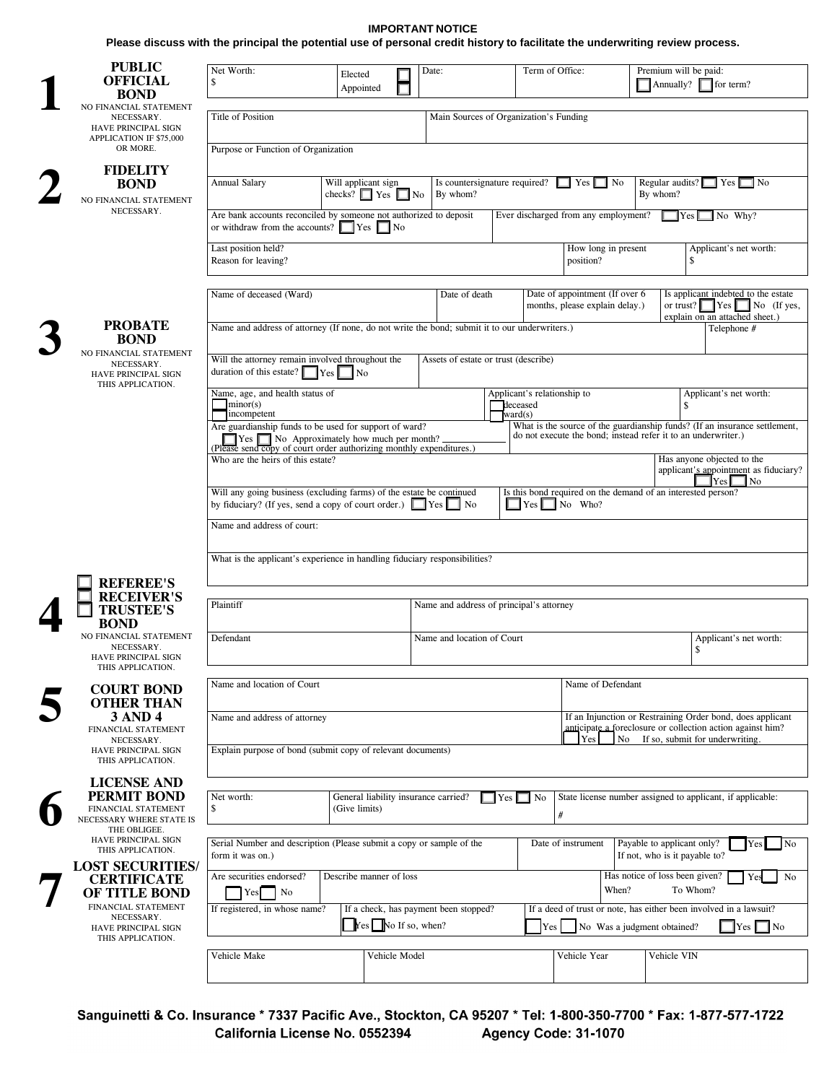#### **IMPORTANT NOTICE**

**Please discuss with the principal the potential use of personal credit history to facilitate the underwriting review process.**

| <b>PUBLIC</b><br><b>OFFICIAL</b><br><b>BOND</b>                                             | Net Worth:<br>\$                                                                                                                                 | Elected<br>Appointed                                  | Date:                                    |                              | Term of Office:                                                  |                             | Premium will be paid:<br>$\blacksquare$ Annually? $\blacksquare$ for term?                       |                                                                                                      |
|---------------------------------------------------------------------------------------------|--------------------------------------------------------------------------------------------------------------------------------------------------|-------------------------------------------------------|------------------------------------------|------------------------------|------------------------------------------------------------------|-----------------------------|--------------------------------------------------------------------------------------------------|------------------------------------------------------------------------------------------------------|
| NO FINANCIAL STATEMENT<br>NECESSARY.<br>HAVE PRINCIPAL SIGN<br>APPLICATION IF \$75,000      | Title of Position                                                                                                                                |                                                       |                                          |                              | Main Sources of Organization's Funding                           |                             |                                                                                                  |                                                                                                      |
| OR MORE.                                                                                    | Purpose or Function of Organization                                                                                                              |                                                       |                                          |                              |                                                                  |                             |                                                                                                  |                                                                                                      |
| <b>FIDELITY</b><br><b>BOND</b><br>NO FINANCIAL STATEMENT                                    | Annual Salary<br>Will applicant sign<br>Is countersignature required?<br>checks? $\Box$ Yes $\Box$ No<br>By whom?                                |                                                       |                                          |                              | $\Box$ Yes $\Box$ No                                             |                             | Regular audits? $\Box$ Yes $\Box$ No<br>By whom?                                                 |                                                                                                      |
| NECESSARY.                                                                                  | Are bank accounts reconciled by someone not authorized to deposit<br>or withdraw from the accounts? $\Box$ Yes $\Box$ No                         |                                                       |                                          |                              | Ever discharged from any employment?                             |                             | $\mathbf{Yes}$                                                                                   | $\Box$ No Why?                                                                                       |
|                                                                                             | Last position held?<br>Reason for leaving?                                                                                                       |                                                       |                                          |                              | position?                                                        | How long in present         | \$                                                                                               | Applicant's net worth:                                                                               |
|                                                                                             | Name of deceased (Ward)                                                                                                                          |                                                       | Date of death                            |                              | Date of appointment (If over 6<br>months, please explain delay.) |                             |                                                                                                  | Is applicant indebted to the estate<br>or trust? $Yes$ No (If yes,<br>explain on an attached sheet.) |
| <b>PROBATE</b><br><b>BOND</b>                                                               | Name and address of attorney (If none, do not write the bond; submit it to our underwriters.)                                                    |                                                       |                                          |                              |                                                                  |                             |                                                                                                  | Telephone #                                                                                          |
| NO FINANCIAL STATEMENT<br>NECESSARY.<br>HAVE PRINCIPAL SIGN<br>THIS APPLICATION.            | Will the attorney remain involved throughout the<br>duration of this estate? $\sqrt{\phantom{a}}$ Yes                                            | $\vert$ No                                            | Assets of estate or trust (describe)     |                              |                                                                  |                             |                                                                                                  |                                                                                                      |
|                                                                                             | Name, age, and health status of<br>minor(s)<br>incompetent                                                                                       |                                                       |                                          | deceased<br>$\text{ward}(s)$ | Applicant's relationship to                                      |                             | \$                                                                                               | Applicant's net worth:                                                                               |
|                                                                                             | Are guardianship funds to be used for support of ward?                                                                                           |                                                       |                                          |                              |                                                                  |                             | do not execute the bond, instead refer it to an underwriter.)                                    | What is the source of the guardianship funds? (If an insurance settlement,                           |
|                                                                                             | Who are the heirs of this estate?                                                                                                                |                                                       |                                          |                              |                                                                  |                             | Has anyone objected to the                                                                       | applicant's appointment as fiduciary?<br>No                                                          |
|                                                                                             | Will any going business (excluding farms) of the estate be continued<br>by fiduciary? (If yes, send a copy of court order.) $\Box$ Yes $\Box$ No |                                                       |                                          |                              | $\blacksquare$ Yes $\blacksquare$ No Who?                        |                             | Is this bond required on the demand of an interested person?                                     |                                                                                                      |
|                                                                                             | Name and address of court:                                                                                                                       |                                                       |                                          |                              |                                                                  |                             |                                                                                                  |                                                                                                      |
| <b>REFEREE'S</b>                                                                            | What is the applicant's experience in handling fiduciary responsibilities?                                                                       |                                                       |                                          |                              |                                                                  |                             |                                                                                                  |                                                                                                      |
| <b>RECEIVER'S</b><br><b>TRUSTEE'S</b><br><b>BOND</b>                                        | Plaintiff                                                                                                                                        |                                                       | Name and address of principal's attorney |                              |                                                                  |                             |                                                                                                  |                                                                                                      |
| NO FINANCIAL STATEMENT<br>NECESSARY.<br>HAVE PRINCIPAL SIGN                                 | Defendant                                                                                                                                        |                                                       | Name and location of Court               |                              |                                                                  |                             | \$                                                                                               | Applicant's net worth:                                                                               |
| THIS APPLICATION.<br><b>COURT BOND</b><br><b>OTHER THAN</b>                                 | Name and location of Court                                                                                                                       |                                                       |                                          |                              |                                                                  | Name of Defendant           |                                                                                                  |                                                                                                      |
| <b>3 AND 4</b><br>FINANCIAL STATEMENT<br>NECESSARY.                                         | Name and address of attorney                                                                                                                     |                                                       |                                          |                              | Yes                                                              |                             | anticipate a foreclosure or collection action against him?<br>No If so, submit for underwriting. | If an Injunction or Restraining Order bond, does applicant                                           |
| HAVE PRINCIPAL SIGN<br>THIS APPLICATION.                                                    | Explain purpose of bond (submit copy of relevant documents)                                                                                      |                                                       |                                          |                              |                                                                  |                             |                                                                                                  |                                                                                                      |
| <b>LICENSE AND</b><br><b>PERMIT BOND</b><br>FINANCIAL STATEMENT<br>NECESSARY WHERE STATE IS | Net worth:<br>\$                                                                                                                                 | General liability insurance carried?<br>(Give limits) |                                          | $\Box$ Yes $\Box$ No         | $\#$                                                             |                             | State license number assigned to applicant, if applicable:                                       |                                                                                                      |
| THE OBLIGEE.<br>HAVE PRINCIPAL SIGN<br>THIS APPLICATION.                                    | Serial Number and description (Please submit a copy or sample of the<br>form it was on.)                                                         |                                                       |                                          |                              | Date of instrument                                               |                             | Payable to applicant only?<br>If not, who is it payable to?                                      | Yes<br>No                                                                                            |
| <b>LOST SECURITIES/</b><br><b>CERTIFICATE</b><br>OF TITLE BOND                              | Are securities endorsed?<br>$\blacksquare$ No<br>Yes                                                                                             | Describe manner of loss                               |                                          |                              |                                                                  | When?                       | Has notice of loss been given?<br>To Whom?                                                       | No<br><b>Yes</b>                                                                                     |
| FINANCIAL STATEMENT<br>NECESSARY.<br>HAVE PRINCIPAL SIGN<br>THIS APPLICATION.               | If registered, in whose name?                                                                                                                    | $Yes$ No If so, when?                                 | If a check, has payment been stopped?    |                              | Yes                                                              | No Was a judgment obtained? | If a deed of trust or note, has either been involved in a lawsuit?                               | $\vert$ Yes $\vert$ No                                                                               |
|                                                                                             | Vehicle Make                                                                                                                                     | Vehicle Model                                         |                                          |                              | Vehicle Year                                                     |                             | Vehicle VIN                                                                                      |                                                                                                      |
|                                                                                             |                                                                                                                                                  |                                                       |                                          |                              |                                                                  |                             |                                                                                                  |                                                                                                      |

Sanguinetti & Co. Insurance \* 7337 Pacific Ave., Stockton, CA 95207 \* Tel: 1-800-350-7700 \* Fax: 1-877-577-1722 California License No. 0552394 Agency Code: 31-1070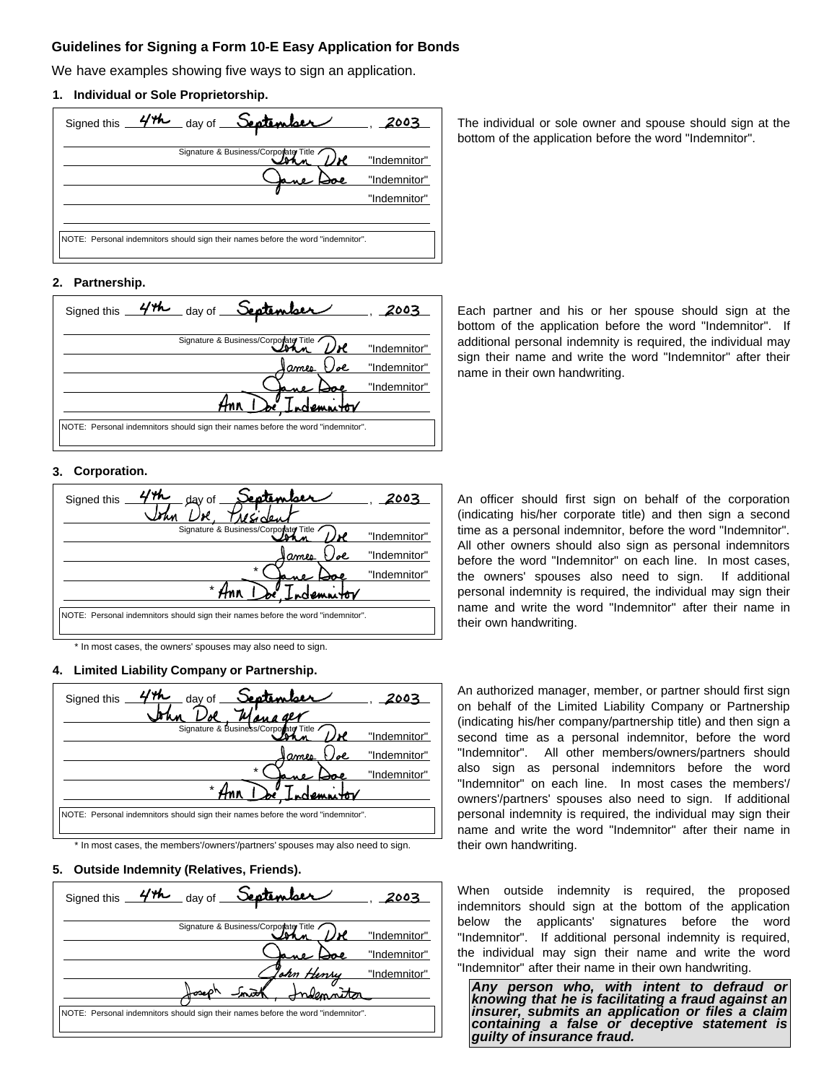## **Guidelines for Signing a Form 10-E Easy Application for Bonds**

We have examples showing five ways to sign an application.

### **1. Individual or Sole Proprietorship.**



The individual or sole owner and spouse should sign at the bottom of the application before the word "Indemnitor".

## **2. Partnership.**



Each partner and his or her spouse should sign at the bottom of the application before the word "Indemnitor". If additional personal indemnity is required, the individual may sign their name and write the word "Indemnitor" after their name in their own handwriting.

### **3. Corporation.**



\* In most cases, the owners' spouses may also need to sign.

## **4. Limited Liability Company or Partnership.**

| September<br>day of<br>Signed this                                               |              |
|----------------------------------------------------------------------------------|--------------|
| Signature & Business/Corporate Title                                             | "Indemnitor" |
| ames<br>ol                                                                       | "Indemnitor" |
| $\star$                                                                          | "Indemnitor" |
| $\star$                                                                          |              |
| NOTE: Personal indemnitors should sign their names before the word "indemnitor". |              |

\* In most cases, the members'/owners'/partners' spouses may also need to sign.

#### **5. Outside Indemnity (Relatives, Friends).**

| _ day of <b>September</b><br>44<br>Signed this                                   | 2003         |
|----------------------------------------------------------------------------------|--------------|
| Signature & Business/Corporate Title                                             | "Indemnitor" |
|                                                                                  | "Indemnitor" |
| ohn Henry                                                                        | "Indemnitor" |
|                                                                                  |              |
| NOTE: Personal indemnitors should sign their names before the word "indemnitor". |              |

An officer should first sign on behalf of the corporation (indicating his/her corporate title) and then sign a second time as a personal indemnitor, before the word "Indemnitor". All other owners should also sign as personal indemnitors before the word "Indemnitor" on each line. In most cases, the owners' spouses also need to sign. If additional personal indemnity is required, the individual may sign their name and write the word "Indemnitor" after their name in their own handwriting.

An authorized manager, member, or partner should first sign on behalf of the Limited Liability Company or Partnership (indicating his/her company/partnership title) and then sign a second time as a personal indemnitor, before the word "Indemnitor". All other members/owners/partners should also sign as personal indemnitors before the word "Indemnitor" on each line. In most cases the members'/ owners'/partners' spouses also need to sign. If additional personal indemnity is required, the individual may sign their name and write the word "Indemnitor" after their name in their own handwriting.

When outside indemnity is required, the proposed indemnitors should sign at the bottom of the application below the applicants' signatures before the word "Indemnitor". If additional personal indemnity is required, the individual may sign their name and write the word "Indemnitor" after their name in their own handwriting.

*Any person who, with intent to defraud or knowing that he is facilitating a fraud against an insurer, submits an application or files a claim containing a false or deceptive statement is guilty of insurance fraud.*